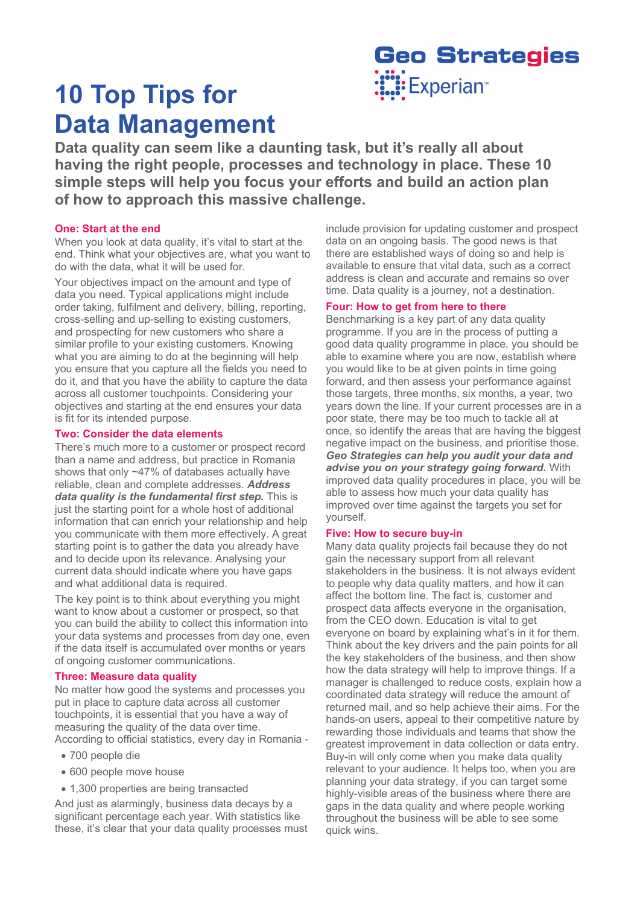# **10 Top Tips for Data Management**



**Data quality can seem like a daunting task, but it's really all about having the right people, processes and technology in place. These 10 simple steps will help you focus your efforts and build an action plan of how to approach this massive challenge.** 

# **One: Start at the end**

When you look at data quality, it's vital to start at the end. Think what your objectives are, what you want to do with the data, what it will be used for.

Your objectives impact on the amount and type of data you need. Typical applications might include order taking, fulfilment and delivery, billing, reporting, cross-selling and up-selling to existing customers, and prospecting for new customers who share a similar profile to your existing customers. Knowing what you are aiming to do at the beginning will help you ensure that you capture all the fields you need to do it, and that you have the ability to capture the data across all customer touchpoints. Considering your objectives and starting at the end ensures your data is fit for its intended purpose.

# **Two: Consider the data elements**

There's much more to a customer or prospect record than a name and address, but practice in Romania shows that only ~47% of databases actually have reliable, clean and complete addresses. *Address data quality is the fundamental first step.* This is just the starting point for a whole host of additional information that can enrich your relationship and help you communicate with them more effectively. A great starting point is to gather the data you already have and to decide upon its relevance. Analysing your current data should indicate where you have gaps and what additional data is required.

The key point is to think about everything you might want to know about a customer or prospect, so that you can build the ability to collect this information into your data systems and processes from day one, even if the data itself is accumulated over months or years of ongoing customer communications.

# **Three: Measure data quality**

No matter how good the systems and processes you put in place to capture data across all customer touchpoints, it is essential that you have a way of measuring the quality of the data over time. According to official statistics, every day in Romania -

- 700 people die
- 600 people move house
- 1,300 properties are being transacted

And just as alarmingly, business data decays by a significant percentage each year. With statistics like these, it's clear that your data quality processes must include provision for updating customer and prospect data on an ongoing basis. The good news is that there are established ways of doing so and help is available to ensure that vital data, such as a correct address is clean and accurate and remains so over time. Data quality is a journey, not a destination.

# **Four: How to get from here to there**

Benchmarking is a key part of any data quality programme. If you are in the process of putting a good data quality programme in place, you should be able to examine where you are now, establish where you would like to be at given points in time going forward, and then assess your performance against those targets, three months, six months, a year, two years down the line. If your current processes are in a poor state, there may be too much to tackle all at once, so identify the areas that are having the biggest negative impact on the business, and prioritise those. *Geo Strategies can help you audit your data and advise you on your strategy going forward.* With improved data quality procedures in place, you will be able to assess how much your data quality has improved over time against the targets you set for yourself.

# **Five: How to secure buy-in**

Many data quality projects fail because they do not gain the necessary support from all relevant stakeholders in the business. It is not always evident to people why data quality matters, and how it can affect the bottom line. The fact is, customer and prospect data affects everyone in the organisation, from the CEO down. Education is vital to get everyone on board by explaining what's in it for them. Think about the key drivers and the pain points for all the key stakeholders of the business, and then show how the data strategy will help to improve things. If a manager is challenged to reduce costs, explain how a coordinated data strategy will reduce the amount of returned mail, and so help achieve their aims. For the hands-on users, appeal to their competitive nature by rewarding those individuals and teams that show the greatest improvement in data collection or data entry. Buy-in will only come when you make data quality relevant to your audience. It helps too, when you are planning your data strategy, if you can target some highly-visible areas of the business where there are gaps in the data quality and where people working throughout the business will be able to see some quick wins.